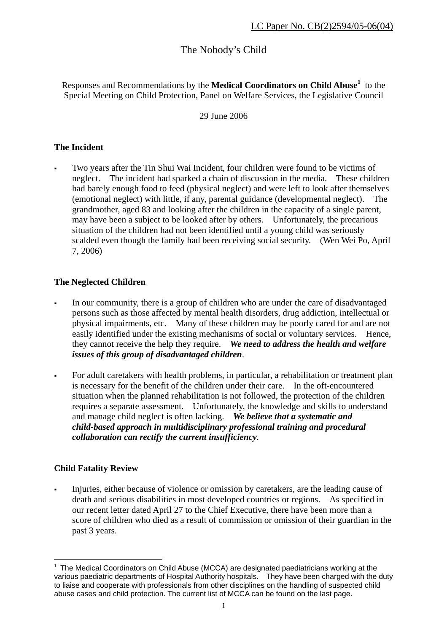# The Nobody's Child

Responses and Recommendations by the **Medical Coordinators on Child Abuse<sup>1</sup>** to the Special Meeting on Child Protection, Panel on Welfare Services, the Legislative Council

29 June 2006

## **The Incident**

 Two years after the Tin Shui Wai Incident, four children were found to be victims of neglect. The incident had sparked a chain of discussion in the media. These children had barely enough food to feed (physical neglect) and were left to look after themselves (emotional neglect) with little, if any, parental guidance (developmental neglect). The grandmother, aged 83 and looking after the children in the capacity of a single parent, may have been a subject to be looked after by others. Unfortunately, the precarious situation of the children had not been identified until a young child was seriously scalded even though the family had been receiving social security. (Wen Wei Po, April 7, 2006)

## **The Neglected Children**

- In our community, there is a group of children who are under the care of disadvantaged persons such as those affected by mental health disorders, drug addiction, intellectual or physical impairments, etc. Many of these children may be poorly cared for and are not easily identified under the existing mechanisms of social or voluntary services. Hence, they cannot receive the help they require. *We need to address the health and welfare issues of this group of disadvantaged children*.
- For adult caretakers with health problems, in particular, a rehabilitation or treatment plan is necessary for the benefit of the children under their care. In the oft-encountered situation when the planned rehabilitation is not followed, the protection of the children requires a separate assessment. Unfortunately, the knowledge and skills to understand and manage child neglect is often lacking. *We believe that a systematic and child-based approach in multidisciplinary professional training and procedural collaboration can rectify the current insufficiency*.

## **Child Fatality Review**

Injuries, either because of violence or omission by caretakers, are the leading cause of death and serious disabilities in most developed countries or regions. As specified in our recent letter dated April 27 to the Chief Executive, there have been more than a score of children who died as a result of commission or omission of their guardian in the past 3 years.

 $\overline{a}$  $1$  The Medical Coordinators on Child Abuse (MCCA) are designated paediatricians working at the various paediatric departments of Hospital Authority hospitals. They have been charged with the duty to liaise and cooperate with professionals from other disciplines on the handling of suspected child abuse cases and child protection. The current list of MCCA can be found on the last page.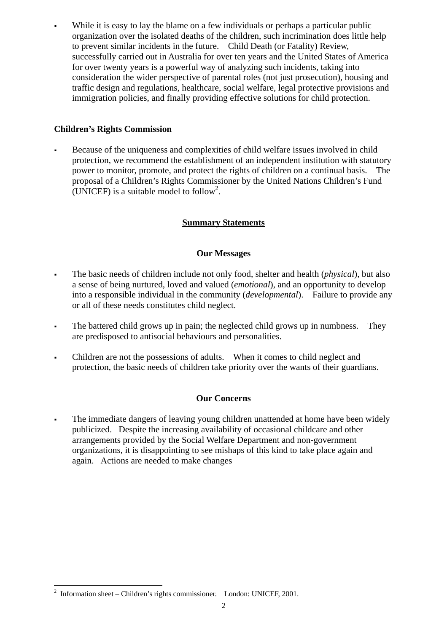While it is easy to lay the blame on a few individuals or perhaps a particular public organization over the isolated deaths of the children, such incrimination does little help to prevent similar incidents in the future. Child Death (or Fatality) Review, successfully carried out in Australia for over ten years and the United States of America for over twenty years is a powerful way of analyzing such incidents, taking into consideration the wider perspective of parental roles (not just prosecution), housing and traffic design and regulations, healthcare, social welfare, legal protective provisions and immigration policies, and finally providing effective solutions for child protection.

## **Children's Rights Commission**

 Because of the uniqueness and complexities of child welfare issues involved in child protection, we recommend the establishment of an independent institution with statutory power to monitor, promote, and protect the rights of children on a continual basis. The proposal of a Children's Rights Commissioner by the United Nations Children's Fund (UNICEF) is a suitable model to follow<sup>2</sup>.

## **Summary Statements**

## **Our Messages**

- The basic needs of children include not only food, shelter and health (*physical*), but also a sense of being nurtured, loved and valued (*emotional*), and an opportunity to develop into a responsible individual in the community (*developmental*). Failure to provide any or all of these needs constitutes child neglect.
- The battered child grows up in pain; the neglected child grows up in numbness. They are predisposed to antisocial behaviours and personalities.
- Children are not the possessions of adults. When it comes to child neglect and protection, the basic needs of children take priority over the wants of their guardians.

## **Our Concerns**

 The immediate dangers of leaving young children unattended at home have been widely publicized. Despite the increasing availability of occasional childcare and other arrangements provided by the Social Welfare Department and non-government organizations, it is disappointing to see mishaps of this kind to take place again and again. Actions are needed to make changes

 2 Information sheet – Children's rights commissioner. London: UNICEF, 2001.